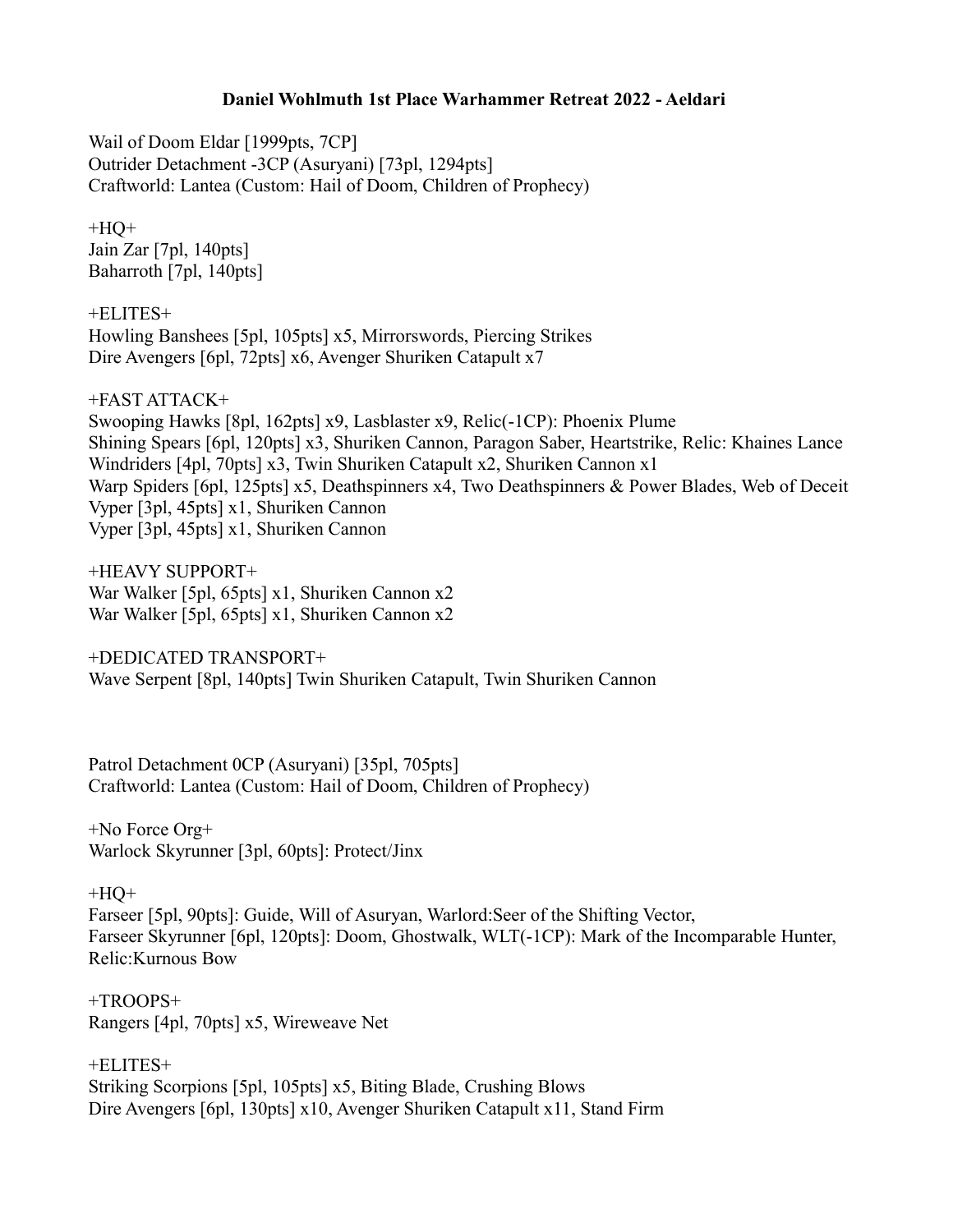## **Daniel Wohlmuth 1st Place Warhammer Retreat 2022 - Aeldari**

Wail of Doom Eldar [1999pts, 7CP] Outrider Detachment -3CP (Asuryani) [73pl, 1294pts] Craftworld: Lantea (Custom: Hail of Doom, Children of Prophecy)

 $+HO+$ Jain Zar [7pl, 140pts] Baharroth [7pl, 140pts]

+ELITES+ Howling Banshees [5pl, 105pts] x5, Mirrorswords, Piercing Strikes Dire Avengers [6pl, 72pts] x6, Avenger Shuriken Catapult x7

+FAST ATTACK+

Swooping Hawks [8pl, 162pts] x9, Lasblaster x9, Relic(-1CP): Phoenix Plume Shining Spears [6pl, 120pts] x3, Shuriken Cannon, Paragon Saber, Heartstrike, Relic: Khaines Lance Windriders [4pl, 70pts] x3, Twin Shuriken Catapult x2, Shuriken Cannon x1 Warp Spiders [6pl, 125pts] x5, Deathspinners x4, Two Deathspinners & Power Blades, Web of Deceit Vyper [3pl, 45pts] x1, Shuriken Cannon Vyper [3pl, 45pts] x1, Shuriken Cannon

+HEAVY SUPPORT+ War Walker [5pl, 65pts] x1, Shuriken Cannon x2 War Walker [5pl, 65pts] x1, Shuriken Cannon x2

+DEDICATED TRANSPORT+ Wave Serpent [8pl, 140pts] Twin Shuriken Catapult, Twin Shuriken Cannon

Patrol Detachment 0CP (Asuryani) [35pl, 705pts] Craftworld: Lantea (Custom: Hail of Doom, Children of Prophecy)

+No Force Org+ Warlock Skyrunner [3pl, 60pts]: Protect/Jinx

## $+HO+$

Farseer [5pl, 90pts]: Guide, Will of Asuryan, Warlord:Seer of the Shifting Vector, Farseer Skyrunner [6pl, 120pts]: Doom, Ghostwalk, WLT(-1CP): Mark of the Incomparable Hunter, Relic:Kurnous Bow

+TROOPS+ Rangers [4pl, 70pts] x5, Wireweave Net

+ELITES+ Striking Scorpions [5pl, 105pts] x5, Biting Blade, Crushing Blows Dire Avengers [6pl, 130pts] x10, Avenger Shuriken Catapult x11, Stand Firm